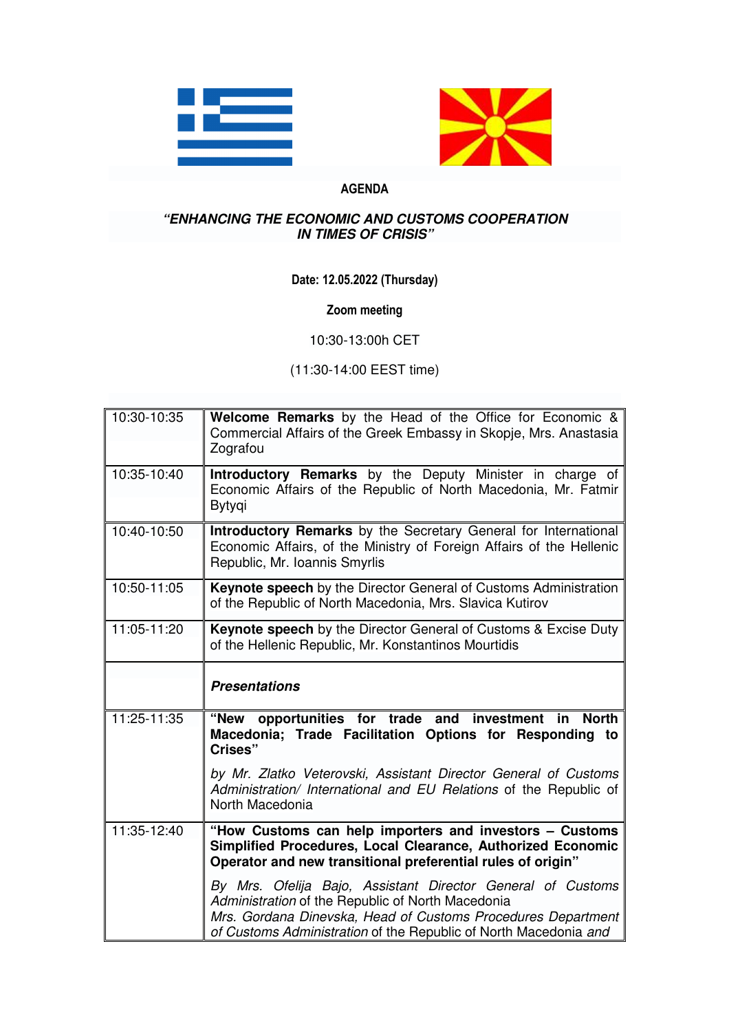



## **AGENDA**

## **"ENHANCING THE ECONOMIC AND CUSTOMS COOPERATION IN TIMES OF CRISIS"**

## **Date: 12.05.2022 (Thursday)**

## **Zoom meeting**

10:30-13:00h CET

(11:30-14:00 EEST time)

| 10:30-10:35     | Welcome Remarks by the Head of the Office for Economic &<br>Commercial Affairs of the Greek Embassy in Skopje, Mrs. Anastasia<br>Zografou                                                                                                            |
|-----------------|------------------------------------------------------------------------------------------------------------------------------------------------------------------------------------------------------------------------------------------------------|
| 10:35-10:40     | Introductory Remarks by the Deputy Minister in charge of<br>Economic Affairs of the Republic of North Macedonia, Mr. Fatmir<br>Bytygi                                                                                                                |
| 10:40-10:50     | Introductory Remarks by the Secretary General for International<br>Economic Affairs, of the Ministry of Foreign Affairs of the Hellenic<br>Republic, Mr. Ioannis Smyrlis                                                                             |
| 10:50-11:05     | Keynote speech by the Director General of Customs Administration<br>of the Republic of North Macedonia, Mrs. Slavica Kutirov                                                                                                                         |
| 11:05-11:20     | <b>Keynote speech</b> by the Director General of Customs & Excise Duty<br>of the Hellenic Republic, Mr. Konstantinos Mourtidis                                                                                                                       |
|                 | <b>Presentations</b>                                                                                                                                                                                                                                 |
| 11:25-11:35     | "New<br>opportunities for trade<br>and<br>investment<br>in<br><b>North</b><br>Macedonia; Trade Facilitation Options for Responding to<br>Crises"                                                                                                     |
|                 | by Mr. Zlatko Veterovski, Assistant Director General of Customs<br>Administration/ International and EU Relations of the Republic of<br>North Macedonia                                                                                              |
| $11:35 - 12:40$ | "How Customs can help importers and investors - Customs<br>Simplified Procedures, Local Clearance, Authorized Economic<br>Operator and new transitional preferential rules of origin"                                                                |
|                 | By Mrs. Ofelija Bajo, Assistant Director General of Customs<br>Administration of the Republic of North Macedonia<br>Mrs. Gordana Dinevska, Head of Customs Procedures Department<br>of Customs Administration of the Republic of North Macedonia and |